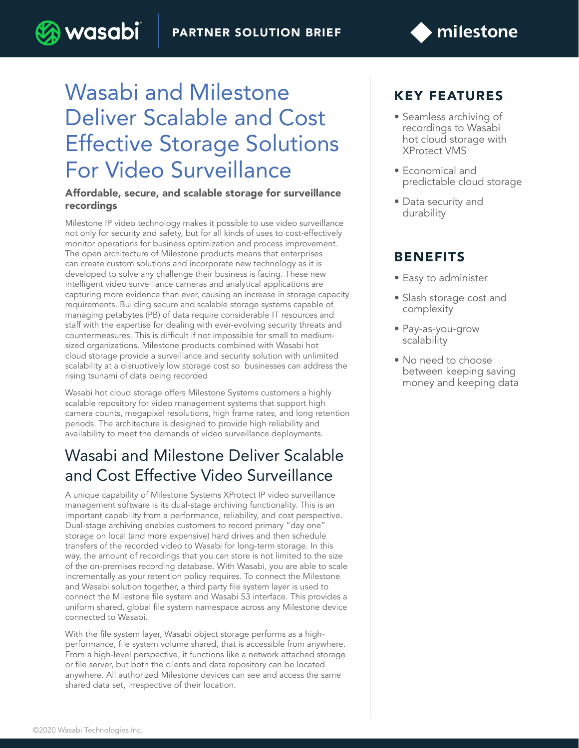

# Wasabi and Milestone Deliver Scalable and Cost Effective Storage Solutions For Video Surveillance

) wasabi

#### Affordable, secure, and scalable storage for surveillance recordings

Milestone IP video technology makes it possible to use video surveillance not only for security and safety, but for all kinds of uses to cost-effectively monitor operations for business optimization and process improvement. The open architecture of Milestone products means that enterprises can create custom solutions and incorporate new technology as it is developed to solve any challenge their business is facing. These new intelligent video surveillance cameras and analytical applications are capturing more evidence than ever, causing an increase in storage capacity requirements. Building secure and scalable storage systems capable of managing petabytes (PB) of data require considerable IT resources and staff with the expertise for dealing with ever-evolving security threats and countermeasures. This is difficult if not impossible for small to mediumsized organizations. Milestone products combined with Wasabi hot cloud storage provide a surveillance and security solution with unlimited scalability at a disruptively low storage cost so businesses can address the rising tsunami of data being recorded

Wasabi hot cloud storage offers Milestone Systems customers a highly scalable repository for video management systems that support high camera counts, megapixel resolutions, high frame rates, and long retention periods. The architecture is designed to provide high reliability and availability to meet the demands of video surveillance deployments.

### Wasabi and Milestone Deliver Scalable and Cost Effective Video Surveillance

A unique capability of Milestone Systems XProtect IP video surveillance management software is its dual-stage archiving functionality. This is an important capability from a performance, reliability, and cost perspective. Dual-stage archiving enables customers to record primary "day one" storage on local (and more expensive) hard drives and then schedule transfers of the recorded video to Wasabi for long-term storage. In this way, the amount of recordings that you can store is not limited to the size of the on-premises recording database. With Wasabi, you are able to scale incrementally as your retention policy requires. To connect the Milestone and Wasabi solution together, a third party file system layer is used to connect the Milestone file system and Wasabi S3 interface. This provides a uniform shared, global file system namespace across any Milestone device connected to Wasabi.

With the file system layer, Wasabi object storage performs as a highperformance, file system volume shared, that is accessible from anywhere. From a high-level perspective, it functions like a network attached storage or file server, but both the clients and data repository can be located anywhere. All authorized Milestone devices can see and access the same shared data set, irrespective of their location.

#### KEY FEATURES

- Seamless archiving of recordings to Wasabi hot cloud storage with XProtect VMS
- Economical and predictable cloud storage
- Data security and durability

#### BENEFITS

- Easy to administer
- Slash storage cost and complexity
- Pay-as-you-grow scalability
- No need to choose between keeping saving money and keeping data